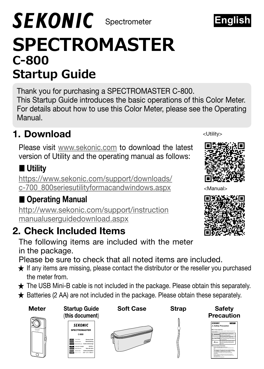# **SPECTROMASTER C-800 Startup Guide SEKONIC** Spectrometer

Thank you for purchasing a SPECTROMASTER C-800. This Startup Guide introduces the basic operations of this Color Meter. For details about how to use this Color Meter, please see the Operating Manual.

### 1. Download

Please visit [www.sekonic.com](http://www.sekonic.com) to download the latest version of Utility and the operating manual as follows:

#### ■ Utility

[https://www.sekonic.com/support/downloads/](https://www.sekonic.com/support/downloads/c-700_800seriesutilityformacandwindows.aspx ) [c-700\\_800seriesutilityformacandwindows.aspx](https://www.sekonic.com/support/downloads/c-700_800seriesutilityformacandwindows.aspx )

#### ■ Operating Manual

http://www.sekonic.com/support/instruction manualuserguidedownload.aspx

#### 2. Check Included Items

The following items are included with the meter in the package.

Please be sure to check that all noted items are included.

- **★** If any items are missing, please contact the distributor or the reseller you purchased  $tha$
- **★** The USB Mini-B cable is not included in the package. Please obtain this separately.
- **★** Batteries (2 AA) are not included in the package. Please obtain these separately.

| ran             | (this document)                                                                  |                  |              | Precaution    |
|-----------------|----------------------------------------------------------------------------------|------------------|--------------|---------------|
| Meter           | <b>Startup Guide</b>                                                             | <b>Soft Case</b> | <b>Strap</b> | <b>Safety</b> |
|                 | Batteries (2 AA) are not included in the package. Please obtain these separately |                  |              |               |
|                 | The USB Mini-B cable is not included in the package. Please obtain this separa   |                  |              |               |
| the meter from. |                                                                                  |                  |              |               |
|                 |                                                                                  |                  |              |               |





<Utility>







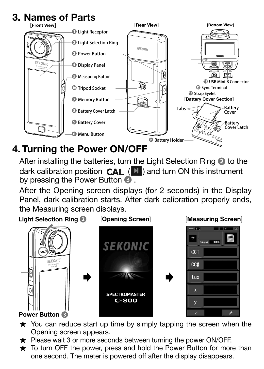## **3. Names of Parts**



#### 4. Turning the Power ON/OFF

After installing the batteries, turn the Light Selection Ring ❷ to the dark calibration position  $CAL$  ( $\blacksquare$ ) and turn ON this instrument by pressing the Power Button ❸ .

After the Opening screen displays (for 2 seconds) in the Display Panel, dark calibration starts. After dark calibration properly ends, the Measuring screen displays.

Light Selection Ring ❷ [Opening Screen] [Measuring Screen] Target 6000\* **SEKONIC** CCT SEKONI  $CCL$ **&**  $\ln x$  $\mathbf{x}$ **SPECTROMASTER**  $C-800$  $\overline{A}$ Power Button ❸

- $\star$  You can reduce start up time by simply tapping the screen when the Opening screen appears.
- ★ Please wait 3 or more seconds between turning the power ON/OFF.
- ★ To turn OFF the power, press and hold the Power Button for more than one second. The meter is powered off after the display disappears.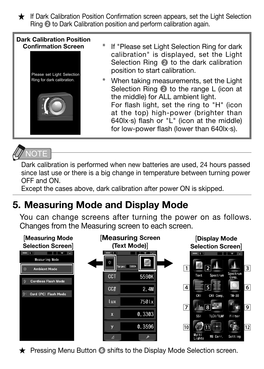★ If Dark Calibration Position Confirmation screen appears, set the Light Selection Ring ❷ to Dark Calibration position and perform calibration again.

#### Dark Calibration Position Confirmation Screen



- If "Please set Light Selection Ring for dark calibration" is displayed, set the Light Selection Ring ❷ to the dark calibration position to start calibration.
- \* When taking measurements, set the Light Selection Ring ❷ to the range L (icon at the middle) for ALL ambient light. For flash light, set the ring to "H" (icon at the top) high-power (brighter than 640lx·s) flash or "L" (icon at the middle) for low-power flash (lower than 640lx·s).



Dark calibration is performed when new batteries are used, 24 hours passed since last use or there is a big change in temperature between turning power OFF and ON.

Except the cases above, dark calibration after power ON is skipped.

### 5. Measuring Mode and Display Mode

You can change screens after turning the power on as follows. Changes from the Measuring screen to each screen.



★ Pressing Menu Button **❻** shifts to the Display Mode Selection screen.